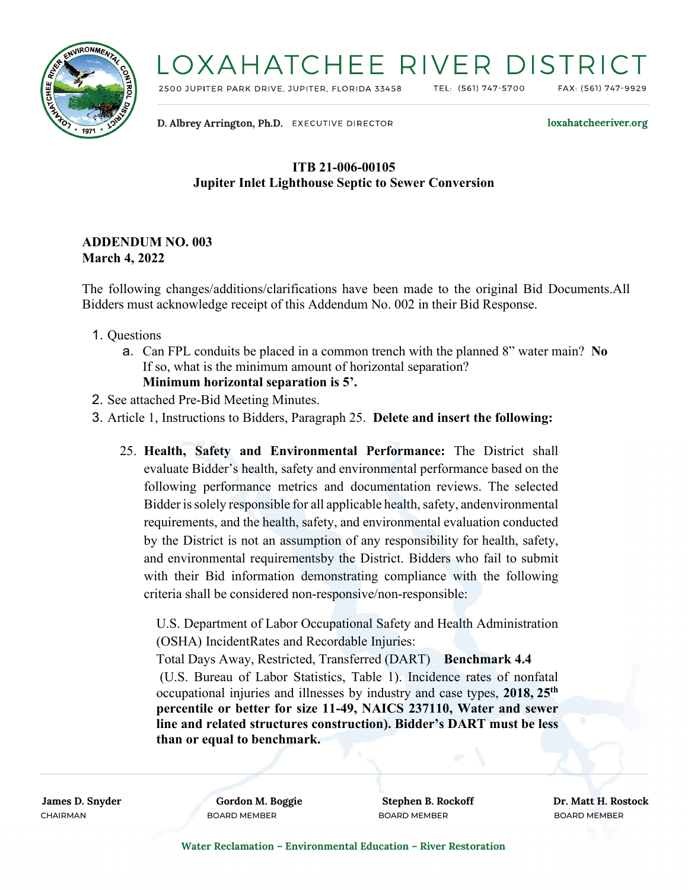

## LOXAHATCHEE RIVER DISTRI

2500 JUPITER PARK DRIVE, JUPITER, FLORIDA 33458

TEL: (561) 747-5700

FAX: (561) 747-9929

D. Albrey Arrington, Ph.D. EXECUTIVE DIRECTOR

loxahatcheeriver.org

### **ITB 21-006-00105 Jupiter Inlet Lighthouse Septic to Sewer Conversion**

### **ADDENDUM NO. 003 March 4, 2022**

The following changes/additions/clarifications have been made to the original Bid Documents.All Bidders must acknowledge receipt of this Addendum No. 002 in their Bid Response.

- 1. Questions
	- a. Can FPL conduits be placed in a common trench with the planned 8" water main? **No** If so, what is the minimum amount of horizontal separation? **Minimum horizontal separation is 5'.**
- 2. See attached Pre-Bid Meeting Minutes.
- 3. Article 1, Instructions to Bidders, Paragraph 25. **Delete and insert the following:**
	- 25. **Health, Safety and Environmental Performance:** The District shall evaluate Bidder's health, safety and environmental performance based on the following performance metrics and documentation reviews. The selected Bidder is solely responsible for all applicable health, safety, andenvironmental requirements, and the health, safety, and environmental evaluation conducted by the District is not an assumption of any responsibility for health, safety, and environmental requirementsby the District. Bidders who fail to submit with their Bid information demonstrating compliance with the following criteria shall be considered non-responsive/non-responsible:

U.S. Department of Labor Occupational Safety and Health Administration (OSHA) IncidentRates and Recordable Injuries:

Total Days Away, Restricted, Transferred (DART) **Benchmark 4.4** (U.S. Bureau of Labor Statistics, Table 1). Incidence rates of nonfatal occupational injuries and illnesses by industry and case types, **2018, 25th percentile or better for size 11-49, NAICS 237110, Water and sewer line and related structures construction). Bidder's DART must be less than or equal to benchmark.**

CHAIRMAN BOARD MEMBER BOARD MEMBER BOARD MEMBER

**James D. Snyder Gordon M. Boggie Stephen B. Rockoff Dr. Matt H. Rostock**

**Water Reclamation – Environmental Education – River Restoration**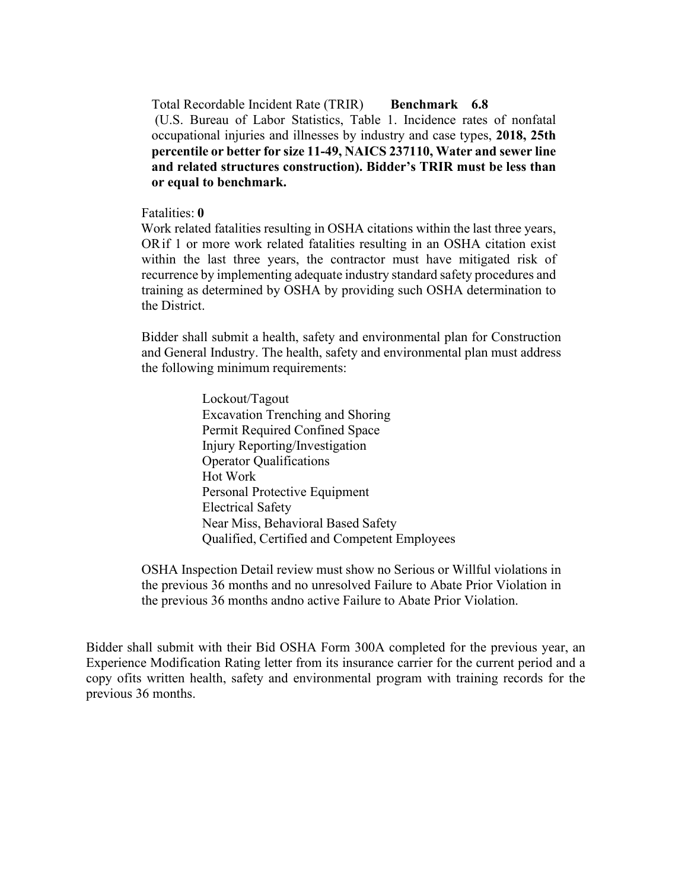Total Recordable Incident Rate (TRIR) **Benchmark 6.8** (U.S. Bureau of Labor Statistics, Table 1. Incidence rates of nonfatal occupational injuries and illnesses by industry and case types, **2018, 25th percentile or better for size 11-49, NAICS 237110, Water and sewer line and related structures construction). Bidder's TRIR must be less than or equal to benchmark.**

#### Fatalities: **0**

 Work related fatalities resulting in OSHA citations within the last three years, OR if 1 or more work related fatalities resulting in an OSHA citation exist within the last three years, the contractor must have mitigated risk of recurrence by implementing adequate industry standard safety procedures and training as determined by OSHA by providing such OSHA determination to the District.

Bidder shall submit a health, safety and environmental plan for Construction and General Industry. The health, safety and environmental plan must address the following minimum requirements:

> Lockout/Tagout Excavation Trenching and Shoring Permit Required Confined Space Injury Reporting/Investigation Operator Qualifications Hot Work Personal Protective Equipment Electrical Safety Near Miss, Behavioral Based Safety Qualified, Certified and Competent Employees

OSHA Inspection Detail review must show no Serious or Willful violations in the previous 36 months and no unresolved Failure to Abate Prior Violation in the previous 36 months andno active Failure to Abate Prior Violation.

Bidder shall submit with their Bid OSHA Form 300A completed for the previous year, an Experience Modification Rating letter from its insurance carrier for the current period and a copy ofits written health, safety and environmental program with training records for the previous 36 months.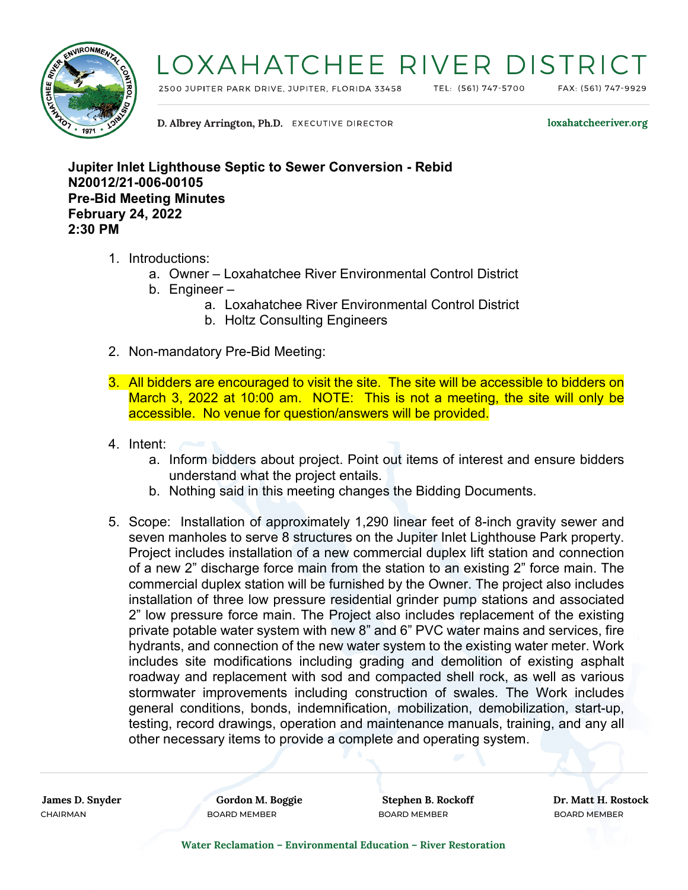

# LOXAHATCHEE RIVER DISTRIC

2500 JUPITER PARK DRIVE, JUPITER, FLORIDA 33458

TEL: (561) 747-5700

FAX: (561) 747-9929

D. Albrey Arrington, Ph.D. EXECUTIVE DIRECTOR

loxahatcheeriver.org

**Jupiter Inlet Lighthouse Septic to Sewer Conversion - Rebid N20012/21-006-00105 Pre-Bid Meeting Minutes February 24, 2022 2:30 PM**

- 1. Introductions:
	- a. Owner Loxahatchee River Environmental Control District
	- b. Engineer
		- a. Loxahatchee River Environmental Control District
		- b. Holtz Consulting Engineers
- 2. Non-mandatory Pre-Bid Meeting:
- 3. All bidders are encouraged to visit the site. The site will be accessible to bidders on March 3, 2022 at 10:00 am. NOTE: This is not a meeting, the site will only be accessible. No venue for question/answers will be provided.
- 4. Intent:
	- a. Inform bidders about project. Point out items of interest and ensure bidders understand what the project entails.
	- b. Nothing said in this meeting changes the Bidding Documents.
- 5. Scope: Installation of approximately 1,290 linear feet of 8-inch gravity sewer and seven manholes to serve 8 structures on the Jupiter Inlet Lighthouse Park property. Project includes installation of a new commercial duplex lift station and connection of a new 2" discharge force main from the station to an existing 2" force main. The commercial duplex station will be furnished by the Owner. The project also includes installation of three low pressure residential grinder pump stations and associated 2" low pressure force main. The Project also includes replacement of the existing private potable water system with new 8" and 6" PVC water mains and services, fire hydrants, and connection of the new water system to the existing water meter. Work includes site modifications including grading and demolition of existing asphalt roadway and replacement with sod and compacted shell rock, as well as various stormwater improvements including construction of swales. The Work includes general conditions, bonds, indemnification, mobilization, demobilization, start-up, testing, record drawings, operation and maintenance manuals, training, and any all other necessary items to provide a complete and operating system.

CHAIRMAN BOARD MEMBER BOARD MEMBER BOARD MEMBER

**James D. Snyder Gordon M. Boggie Stephen B. Rockoff Dr. Matt H. Rostock**

**Water Reclamation – Environmental Education – River Restoration**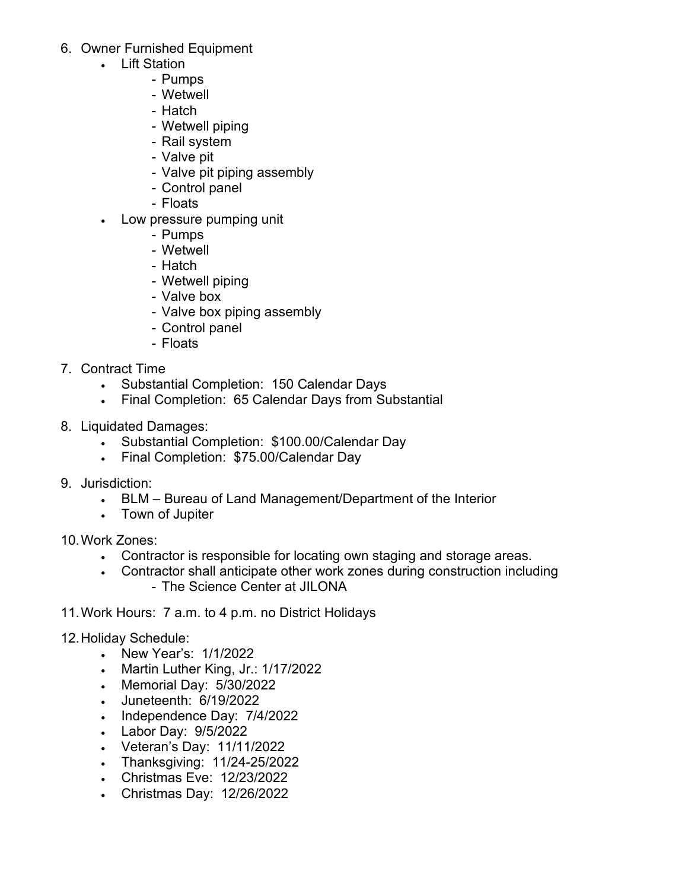- 6. Owner Furnished Equipment
	- Lift Station
		- Pumps
		- Wetwell
		- Hatch
		- Wetwell piping
		- Rail system
		- Valve pit
		- Valve pit piping assembly
		- Control panel
		- Floats
	- Low pressure pumping unit
		- Pumps
		- Wetwell
		- Hatch
		- Wetwell piping
		- Valve box
		- Valve box piping assembly
		- Control panel
		- Floats
- 7. Contract Time
	- Substantial Completion: 150 Calendar Days
	- Final Completion: 65 Calendar Days from Substantial
- 8. Liquidated Damages:
	- Substantial Completion: \$100.00/Calendar Day
	- Final Completion: \$75.00/Calendar Day
- 9. Jurisdiction:
	- BLM Bureau of Land Management/Department of the Interior
	- Town of Jupiter
- 10.Work Zones:
	- Contractor is responsible for locating own staging and storage areas.
	- Contractor shall anticipate other work zones during construction including - The Science Center at JILONA
- 11.Work Hours: 7 a.m. to 4 p.m. no District Holidays
- 12.Holiday Schedule:
	- New Year's: 1/1/2022
	- Martin Luther King, Jr.: 1/17/2022
	- Memorial Day: 5/30/2022
	- Juneteenth: 6/19/2022
	- Independence Day: 7/4/2022
	- Labor Day: 9/5/2022
	- Veteran's Day: 11/11/2022
	- Thanksgiving: 11/24-25/2022
	- Christmas Eve: 12/23/2022
	- Christmas Day: 12/26/2022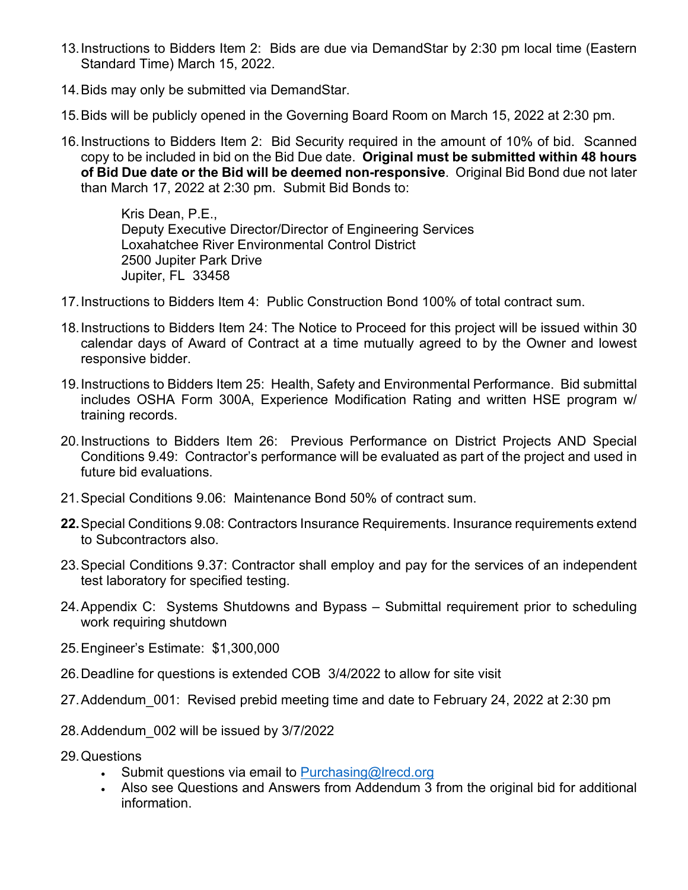- 13.Instructions to Bidders Item 2: Bids are due via DemandStar by 2:30 pm local time (Eastern Standard Time) March 15, 2022.
- 14.Bids may only be submitted via DemandStar.
- 15.Bids will be publicly opened in the Governing Board Room on March 15, 2022 at 2:30 pm.
- 16.Instructions to Bidders Item 2: Bid Security required in the amount of 10% of bid. Scanned copy to be included in bid on the Bid Due date. **Original must be submitted within 48 hours of Bid Due date or the Bid will be deemed non-responsive**. Original Bid Bond due not later than March 17, 2022 at 2:30 pm. Submit Bid Bonds to:

Kris Dean, P.E., Deputy Executive Director/Director of Engineering Services Loxahatchee River Environmental Control District 2500 Jupiter Park Drive Jupiter, FL 33458

- 17.Instructions to Bidders Item 4: Public Construction Bond 100% of total contract sum.
- 18.Instructions to Bidders Item 24: The Notice to Proceed for this project will be issued within 30 calendar days of Award of Contract at a time mutually agreed to by the Owner and lowest responsive bidder.
- 19.Instructions to Bidders Item 25: Health, Safety and Environmental Performance. Bid submittal includes OSHA Form 300A, Experience Modification Rating and written HSE program w/ training records.
- 20.Instructions to Bidders Item 26: Previous Performance on District Projects AND Special Conditions 9.49: Contractor's performance will be evaluated as part of the project and used in future bid evaluations.
- 21.Special Conditions 9.06: Maintenance Bond 50% of contract sum.
- **22.**Special Conditions 9.08: Contractors Insurance Requirements. Insurance requirements extend to Subcontractors also.
- 23.Special Conditions 9.37: Contractor shall employ and pay for the services of an independent test laboratory for specified testing.
- 24.Appendix C: Systems Shutdowns and Bypass Submittal requirement prior to scheduling work requiring shutdown
- 25.Engineer's Estimate: \$1,300,000
- 26.Deadline for questions is extended COB 3/4/2022 to allow for site visit
- 27.Addendum\_001: Revised prebid meeting time and date to February 24, 2022 at 2:30 pm
- 28.Addendum\_002 will be issued by 3/7/2022
- 29.Questions
	- Submit questions via email to [Purchasing@lrecd.org](mailto:Purchasing@lrecd.org)
	- Also see Questions and Answers from Addendum 3 from the original bid for additional information.